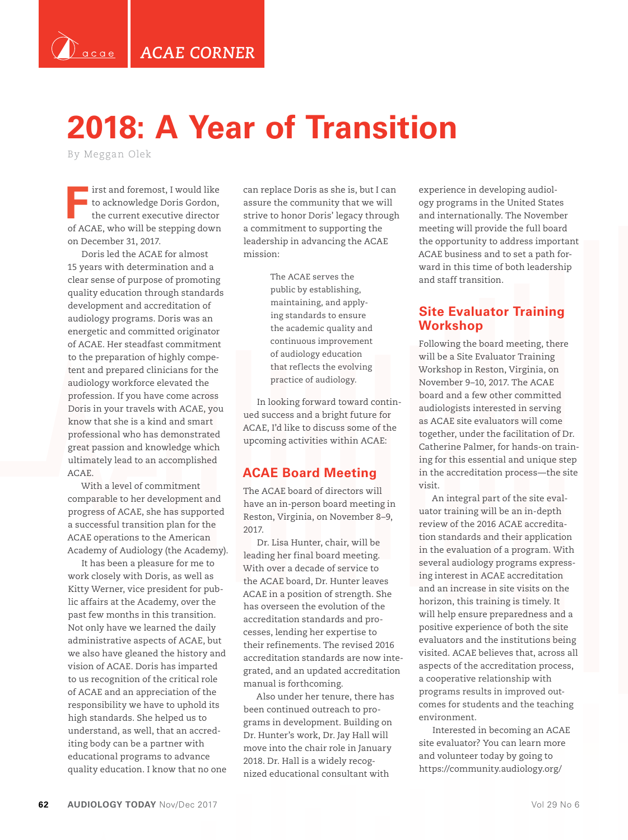*ACAE CORNER*

## **2018: A Year of Transition**

By Meggan Olek

`<br>`acae

**First and foremost, I would like**<br>to acknowledge Doris Gordon,<br>the current executive director to acknowledge Doris Gordon, the current executive director of ACAE, who will be stepping down on December 31, 2017.

Doris led the ACAE for almost 15 years with determination and a clear sense of purpose of promoting quality education through standards development and accreditation of audiology programs. Doris was an energetic and committed originator of ACAE. Her steadfast commitment to the preparation of highly competent and prepared clinicians for the audiology workforce elevated the profession. If you have come across Doris in your travels with ACAE, you know that she is a kind and smart professional who has demonstrated great passion and knowledge which ultimately lead to an accomplished ACAE.

With a level of commitment comparable to her development and progress of ACAE, she has supported a successful transition plan for the ACAE operations to the American Academy of Audiology (the Academy).

It has been a pleasure for me to work closely with Doris, as well as Kitty Werner, vice president for public affairs at the Academy, over the past few months in this transition. Not only have we learned the daily administrative aspects of ACAE, but we also have gleaned the history and vision of ACAE. Doris has imparted to us recognition of the critical role of ACAE and an appreciation of the responsibility we have to uphold its high standards. She helped us to understand, as well, that an accrediting body can be a partner with educational programs to advance quality education. I know that no one can replace Doris as she is, but I can assure the community that we will strive to honor Doris' legacy through a commitment to supporting the leadership in advancing the ACAE mission:

> The ACAE serves the public by establishing, maintaining, and applying standards to ensure the academic quality and continuous improvement of audiology education that reflects the evolving practice of audiology.

In looking forward toward continued success and a bright future for ACAE, I'd like to discuss some of the upcoming activities within ACAE:

#### **ACAE Board Meeting**

The ACAE board of directors will have an in-person board meeting in Reston, Virginia, on November 8–9, 2017.

Dr. Lisa Hunter, chair, will be leading her final board meeting. With over a decade of service to the ACAE board, Dr. Hunter leaves ACAE in a position of strength. She has overseen the evolution of the accreditation standards and processes, lending her expertise to their refinements. The revised 2016 accreditation standards are now integrated, and an updated accreditation manual is forthcoming.

Also under her tenure, there has been continued outreach to programs in development. Building on Dr. Hunter's work, Dr. Jay Hall will move into the chair role in January 2018. Dr. Hall is a widely recognized educational consultant with

experience in developing audiology programs in the United States and internationally. The November meeting will provide the full board the opportunity to address important ACAE business and to set a path forward in this time of both leadership and staff transition.

#### **Site Evaluator Training Workshop**

Following the board meeting, there will be a Site Evaluator Training Workshop in Reston, Virginia, on November 9–10, 2017. The ACAE board and a few other committed audiologists interested in serving as ACAE site evaluators will come together, under the facilitation of Dr. Catherine Palmer, for hands-on training for this essential and unique step in the accreditation process—the site visit.

An integral part of the site evaluator training will be an in-depth review of the 2016 ACAE accreditation standards and their application in the evaluation of a program. With several audiology programs expressing interest in ACAE accreditation and an increase in site visits on the horizon, this training is timely. It will help ensure preparedness and a positive experience of both the site evaluators and the institutions being visited. ACAE believes that, across all aspects of the accreditation process, a cooperative relationship with programs results in improved outcomes for students and the teaching environment.

Interested in becoming an ACAE site evaluator? You can learn more and volunteer today by going to https://community.audiology.org/